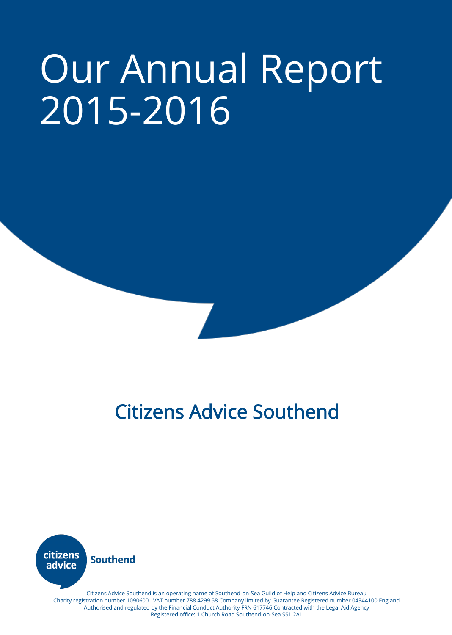# Our Annual Report 2015-2016

# Citizens Advice Southend



Citizens Advice Southend is an operating name of Southend-on-Sea Guild of Help and Citizens Advice Bureau Charity registration number 1090600 VAT number 788 4299 58 Company limited by Guarantee Registered number 04344100 England Authorised and regulated by the Financial Conduct Authority FRN 617746 Contracted with the Legal Aid Agency Registered office: 1 Church Road Southend-on-Sea SS1 2AL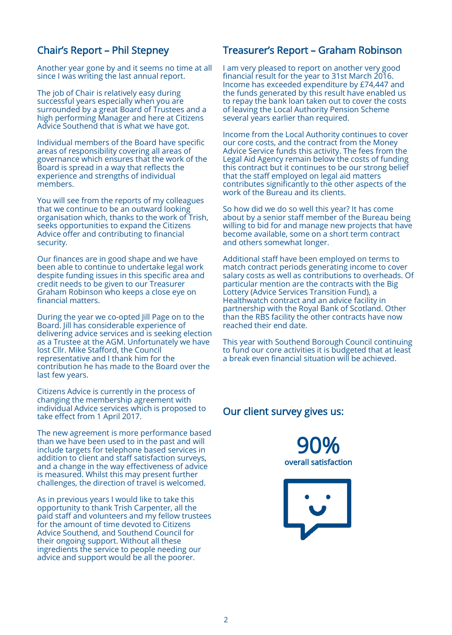# Chair's Report – Phil Stepney

Another year gone by and it seems no time at all since I was writing the last annual report.

The job of Chair is relatively easy during successful years especially when you are surrounded by a great Board of Trustees and a high performing Manager and here at Citizens Advice Southend that is what we have got.

Individual members of the Board have specific areas of responsibility covering all areas of governance which ensures that the work of the Board is spread in a way that reflects the experience and strengths of individual members.

You will see from the reports of my colleagues that we continue to be an outward looking organisation which, thanks to the work of Trish, seeks opportunities to expand the Citizens Advice offer and contributing to financial security.

Our finances are in good shape and we have been able to continue to undertake legal work despite funding issues in this specific area and credit needs to be given to our Treasurer Graham Robinson who keeps a close eye on financial matters.

During the year we co-opted Jill Page on to the Board. Jill has considerable experience of delivering advice services and is seeking election as a Trustee at the AGM. Unfortunately we have lost Cllr. Mike Stafford, the Council representative and I thank him for the contribution he has made to the Board over the last few years.

Citizens Advice is currently in the process of changing the membership agreement with individual Advice services which is proposed to take effect from 1 April 2017.

The new agreement is more performance based than we have been used to in the past and will include targets for telephone based services in addition to client and staff satisfaction surveys, and a change in the way effectiveness of advice is measured. Whilst this may present further challenges, the direction of travel is welcomed.

As in previous years I would like to take this opportunity to thank Trish Carpenter, all the paid staff and volunteers and my fellow trustees for the amount of time devoted to Citizens Advice Southend, and Southend Council for their ongoing support. Without all these ingredients the service to people needing our advice and support would be all the poorer.

# Treasurer's Report – Graham Robinson

I am very pleased to report on another very good financial result for the year to 31st March 2016. Income has exceeded expenditure by £74,447 and the funds generated by this result have enabled us to repay the bank loan taken out to cover the costs of leaving the Local Authority Pension Scheme several years earlier than required.

Income from the Local Authority continues to cover our core costs, and the contract from the Money Advice Service funds this activity. The fees from the Legal Aid Agency remain below the costs of funding this contract but it continues to be our strong belief that the staff employed on legal aid matters contributes significantly to the other aspects of the work of the Bureau and its clients.

So how did we do so well this year? It has come about by a senior staff member of the Bureau being willing to bid for and manage new projects that have become available, some on a short term contract and others somewhat longer.

Additional staff have been employed on terms to match contract periods generating income to cover salary costs as well as contributions to overheads. Of particular mention are the contracts with the Big Lottery (Advice Services Transition Fund), a Healthwatch contract and an advice facility in partnership with the Royal Bank of Scotland. Other than the RBS facility the other contracts have now reached their end date.

This year with Southend Borough Council continuing to fund our core activities it is budgeted that at least a break even financial situation will be achieved.

# Our client survey gives us:



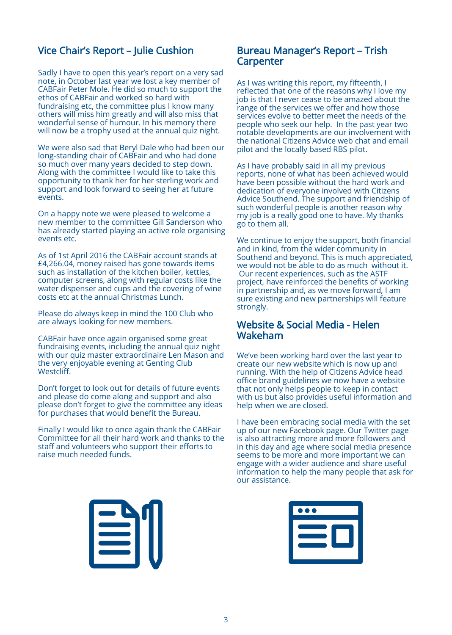# Vice Chair's Report – Julie Cushion

Sadly I have to open this year's report on a very sad note, in October last year we lost a key member of CABFair Peter Mole. He did so much to support the ethos of CABFair and worked so hard with fundraising etc, the committee plus I know many others will miss him greatly and will also miss that wonderful sense of humour. In his memory there will now be a trophy used at the annual quiz night.

We were also sad that Beryl Dale who had been our long-standing chair of CABFair and who had done so much over many years decided to step down. Along with the committee I would like to take this opportunity to thank her for her sterling work and support and look forward to seeing her at future events.

On a happy note we were pleased to welcome a new member to the committee Gill Sanderson who has already started playing an active role organising events etc.

As of 1st April 2016 the CABFair account stands at £4,266.04, money raised has gone towards items such as installation of the kitchen boiler, kettles, computer screens, along with regular costs like the water dispenser and cups and the covering of wine costs etc at the annual Christmas Lunch.

Please do always keep in mind the 100 Club who are always looking for new members.

CABFair have once again organised some great fundraising events, including the annual quiz night with our quiz master extraordinaire Len Mason and the very enjoyable evening at Genting Club Westcliff.

Don't forget to look out for details of future events and please do come along and support and also please don't forget to give the committee any ideas for purchases that would benefit the Bureau.

Finally I would like to once again thank the CABFair Committee for all their hard work and thanks to the staff and volunteers who support their efforts to raise much needed funds.

## Bureau Manager's Report – Trish Carpenter

As I was writing this report, my fifteenth, I reflected that one of the reasons why I love my job is that I never cease to be amazed about the range of the services we offer and how those services evolve to better meet the needs of the people who seek our help. In the past year two notable developments are our involvement with the national Citizens Advice web chat and email pilot and the locally based RBS pilot.

As I have probably said in all my previous reports, none of what has been achieved would have been possible without the hard work and dedication of everyone involved with Citizens Advice Southend. The support and friendship of such wonderful people is another reason why my job is a really good one to have. My thanks go to them all.

We continue to enjoy the support, both financial and in kind, from the wider community in Southend and beyond. This is much appreciated, we would not be able to do as much without it. Our recent experiences, such as the ASTF project, have reinforced the benefits of working in partnership and, as we move forward, I am sure existing and new partnerships will feature strongly.

## Website & Social Media - Helen Wakeham

We've been working hard over the last year to create our new website which is now up and running. With the help of Citizens Advice head office brand guidelines we now have a website that not only helps people to keep in contact with us but also provides useful information and help when we are closed.

I have been embracing social media with the set up of our new Facebook page. Our Twitter page is also attracting more and more followers and in this day and age where social media presence seems to be more and more important we can engage with a wider audience and share useful information to help the many people that ask for our assistance.



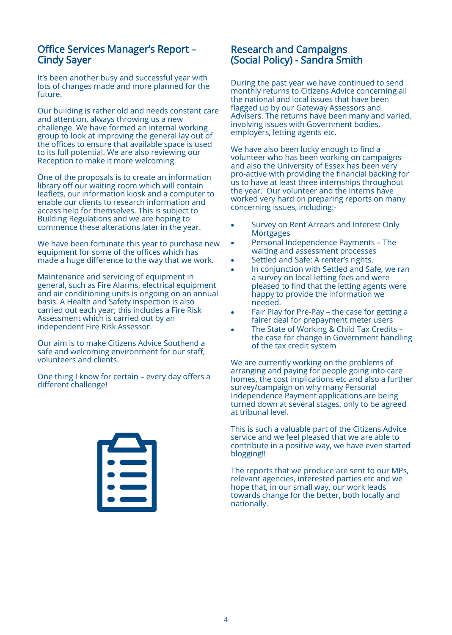# Office Services Manager's Report – Cindy Sayer

It's been another busy and successful year with lots of changes made and more planned for the future.

Our building is rather old and needs constant care and attention, always throwing us a new challenge. We have formed an internal working group to look at improving the general lay out of the offices to ensure that available space is used to its full potential. We are also reviewing our Reception to make it more welcoming.

One of the proposals is to create an information library off our waiting room which will contain leaflets, our information kiosk and a computer to enable our clients to research information and access help for themselves. This is subject to Building Regulations and we are hoping to commence these alterations later in the year.

We have been fortunate this year to purchase new equipment for some of the offices which has made a huge difference to the way that we work.

Maintenance and servicing of equipment in general, such as Fire Alarms, electrical equipment and air conditioning units is ongoing on an annual basis. A Health and Safety inspection is also carried out each year; this includes a Fire Risk Assessment which is carried out by an independent Fire Risk Assessor.

Our aim is to make Citizens Advice Southend a safe and welcoming environment for our staff, volunteers and clients.

One thing I know for certain – every day offers a different challenge!



# Research and Campaigns (Social Policy) - Sandra Smith

During the past year we have continued to send monthly returns to Citizens Advice concerning all the national and local issues that have been flagged up by our Gateway Assessors and Advisers. The returns have been many and varied, involving issues with Government bodies, employers, letting agents etc.

We have also been lucky enough to find a volunteer who has been working on campaigns and also the University of Essex has been very pro-active with providing the financial backing for us to have at least three internships throughout the year. Our volunteer and the interns have worked very hard on preparing reports on many concerning issues, including:-

- Survey on Rent Arrears and Interest Only **Mortgages**
- Personal Independence Payments The waiting and assessment processes
- Settled and Safe: A renter's rights.
- In conjunction with Settled and Safe, we ran a survey on local letting fees and were pleased to find that the letting agents were happy to provide the information we needed.
- Fair Play for Pre-Pay the case for getting a fairer deal for prepayment meter users
- The State of Working & Child Tax Credits the case for change in Government handling of the tax credit system

We are currently working on the problems of arranging and paying for people going into care homes, the cost implications etc and also a further survey/campaign on why many Personal Independence Payment applications are being turned down at several stages, only to be agreed at tribunal level.

This is such a valuable part of the Citizens Advice service and we feel pleased that we are able to contribute in a positive way, we have even started blogging!!

The reports that we produce are sent to our MPs, relevant agencies, interested parties etc and we hope that, in our small way, our work leads towards change for the better, both locally and nationally.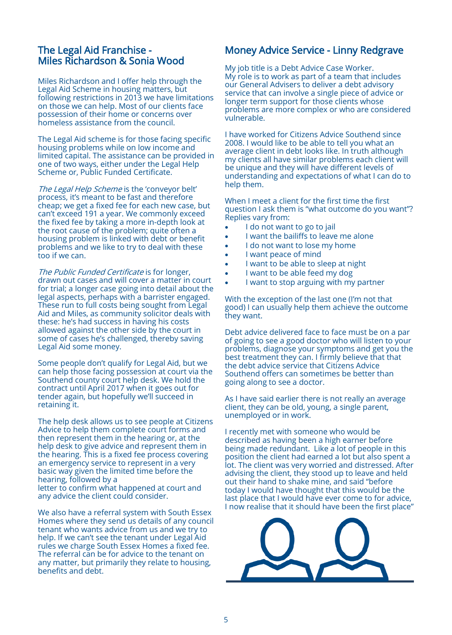# The Legal Aid Franchise - Miles Richardson & Sonia Wood

Miles Richardson and I offer help through the Legal Aid Scheme in housing matters, but following restrictions in 2013 we have limitations on those we can help. Most of our clients face possession of their home or concerns over homeless assistance from the council.

The Legal Aid scheme is for those facing specific housing problems while on low income and limited capital. The assistance can be provided in one of two ways, either under the Legal Help Scheme or, Public Funded Certificate.

The Legal Help Scheme is the 'conveyor belt' process, it's meant to be fast and therefore cheap; we get a fixed fee for each new case, but can't exceed 191 a year. We commonly exceed the fixed fee by taking a more in-depth look at the root cause of the problem; quite often a housing problem is linked with debt or benefit problems and we like to try to deal with these too if we can.

The Public Funded Certificate is for longer, drawn out cases and will cover a matter in court for trial; a longer case going into detail about the legal aspects, perhaps with a barrister engaged. These run to full costs being sought from Legal Aid and Miles, as community solicitor deals with these: he's had success in having his costs allowed against the other side by the court in some of cases he's challenged, thereby saving Legal Aid some money.

Some people don't qualify for Legal Aid, but we can help those facing possession at court via the Southend county court help desk. We hold the contract until April 2017 when it goes out for tender again, but hopefully we'll succeed in retaining it.

The help desk allows us to see people at Citizens Advice to help them complete court forms and then represent them in the hearing or, at the help desk to give advice and represent them in the hearing. This is a fixed fee process covering an emergency service to represent in a very basic way given the limited time before the hearing, followed by a letter to confirm what happened at court and

any advice the client could consider.

We also have a referral system with South Essex Homes where they send us details of any council tenant who wants advice from us and we try to help. If we can't see the tenant under Legal Aid rules we charge South Essex Homes a fixed fee. The referral can be for advice to the tenant on any matter, but primarily they relate to housing, benefits and debt.

# Money Advice Service - Linny Redgrave

My job title is a Debt Advice Case Worker. My role is to work as part of a team that includes our General Advisers to deliver a debt advisory service that can involve a single piece of advice or longer term support for those clients whose problems are more complex or who are considered vulnerable.

I have worked for Citizens Advice Southend since 2008. I would like to be able to tell you what an average client in debt looks like. In truth although my clients all have similar problems each client will be unique and they will have different levels of understanding and expectations of what I can do to help them.

When I meet a client for the first time the first question I ask them is "what outcome do you want"? Replies vary from:

- I do not want to go to jail
- I want the bailiffs to leave me alone
- I do not want to lose my home
- I want peace of mind
- I want to be able to sleep at night
- I want to be able feed my dog
- I want to stop arguing with my partner

With the exception of the last one (I'm not that good) I can usually help them achieve the outcome they want.

Debt advice delivered face to face must be on a par of going to see a good doctor who will listen to your problems, diagnose your symptoms and get you the best treatment they can. I firmly believe that that the debt advice service that Citizens Advice Southend offers can sometimes be better than going along to see a doctor.

As I have said earlier there is not really an average client, they can be old, young, a single parent, unemployed or in work.

I recently met with someone who would be described as having been a high earner before being made redundant. Like a lot of people in this position the client had earned a lot but also spent a lot. The client was very worried and distressed. After advising the client, they stood up to leave and held out their hand to shake mine, and said "before today I would have thought that this would be the last place that I would have ever come to for advice, I now realise that it should have been the first place"

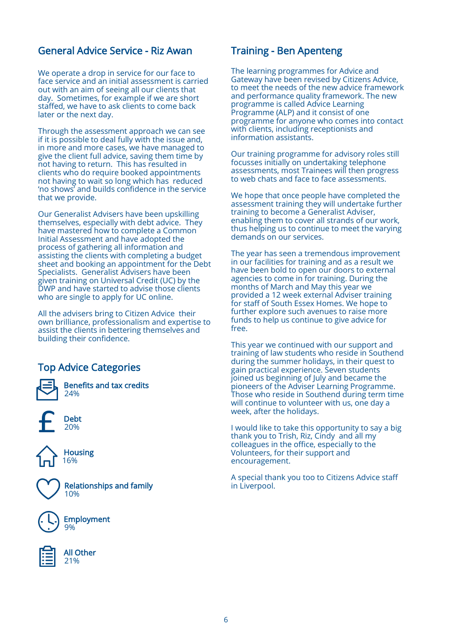# General Advice Service - Riz Awan

We operate a drop in service for our face to face service and an initial assessment is carried out with an aim of seeing all our clients that day. Sometimes, for example if we are short staffed, we have to ask clients to come back later or the next day.

Through the assessment approach we can see if it is possible to deal fully with the issue and, in more and more cases, we have managed to give the client full advice, saving them time by not having to return. This has resulted in clients who do require booked appointments not having to wait so long which has reduced 'no shows' and builds confidence in the service that we provide.

Our Generalist Advisers have been upskilling themselves, especially with debt advice. They have mastered how to complete a Common Initial Assessment and have adopted the process of gathering all information and assisting the clients with completing a budget sheet and booking an appointment for the Debt Specialists. Generalist Advisers have been given training on Universal Credit (UC) by the DWP and have started to advise those clients who are single to apply for UC online.

All the advisers bring to Citizen Advice their own brilliance, professionalism and expertise to assist the clients in bettering themselves and building their confidence.

# Top Advice Categories



Benefits and tax credits 24%







 Relationships and family 10%



Employment 9%



All Other 21%

# Training - Ben Apenteng

The learning programmes for Advice and Gateway have been revised by Citizens Advice, to meet the needs of the new advice framework and performance quality framework. The new programme is called Advice Learning Programme (ALP) and it consist of one programme for anyone who comes into contact with clients, including receptionists and information assistants.

Our training programme for advisory roles still focusses initially on undertaking telephone assessments, most Trainees will then progress to web chats and face to face assessments.

We hope that once people have completed the assessment training they will undertake further training to become a Generalist Adviser, enabling them to cover all strands of our work, thus helping us to continue to meet the varying demands on our services.

The year has seen a tremendous improvement in our facilities for training and as a result we have been bold to open our doors to external agencies to come in for training. During the months of March and May this year we provided a 12 week external Adviser training for staff of South Essex Homes. We hope to further explore such avenues to raise more funds to help us continue to give advice for free.

This year we continued with our support and training of law students who reside in Southend during the summer holidays, in their quest to gain practical experience. Seven students joined us beginning of July and became the pioneers of the Adviser Learning Programme. Those who reside in Southend during term time will continue to volunteer with us, one day a week, after the holidays.

I would like to take this opportunity to say a big thank you to Trish, Riz, Cindy and all my colleagues in the office, especially to the Volunteers, for their support and encouragement.

A special thank you too to Citizens Advice staff in Liverpool.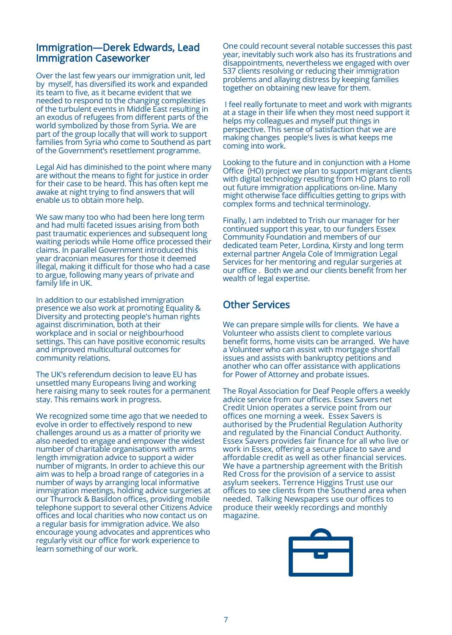# Immigration—Derek Edwards, Lead Immigration Caseworker

Over the last few years our immigration unit, led by myself, has diversified its work and expanded its team to five, as it became evident that we needed to respond to the changing complexities of the turbulent events in Middle East resulting in an exodus of refugees from different parts of the world symbolized by those from Syria. We are part of the group locally that will work to support families from Syria who come to Southend as part of the Government's resettlement programme.

Legal Aid has diminished to the point where many are without the means to fight for justice in order for their case to be heard. This has often kept me awake at night trying to find answers that will enable us to obtain more help.

We saw many too who had been here long term and had multi faceted issues arising from both past traumatic experiences and subsequent long waiting periods while Home office processed their claims. In parallel Government introduced this year draconian measures for those it deemed illegal, making it difficult for those who had a case to argue, following many years of private and family life in UK.

In addition to our established immigration presence we also work at promoting Equality & Diversity and protecting people's human rights against discrimination, both at their workplace and in social or neighbourhood settings. This can have positive economic results and improved multicultural outcomes for community relations.

The UK's referendum decision to leave EU has unsettled many Europeans living and working here raising many to seek routes for a permanent stay. This remains work in progress.

We recognized some time ago that we needed to evolve in order to effectively respond to new challenges around us as a matter of priority we also needed to engage and empower the widest number of charitable organisations with arms length immigration advice to support a wider number of migrants. In order to achieve this our aim was to help a broad range of categories in a number of ways by arranging local informative immigration meetings, holding advice surgeries at our Thurrock & Basildon offices, providing mobile telephone support to several other Citizens Advice offices and local charities who now contact us on a regular basis for immigration advice. We also encourage young advocates and apprentices who regularly visit our office for work experience to learn something of our work.

One could recount several notable successes this past year, inevitably such work also has its frustrations and disappointments, nevertheless we engaged with over 537 clients resolving or reducing their immigration problems and allaying distress by keeping families together on obtaining new leave for them.

I feel really fortunate to meet and work with migrants at a stage in their life when they most need support it helps my colleagues and myself put things in perspective. This sense of satisfaction that we are making changes people's lives is what keeps me coming into work.

Looking to the future and in conjunction with a Home Office (HO) project we plan to support migrant clients with digital technology resulting from HO plans to roll out future immigration applications on-line. Many might otherwise face difficulties getting to grips with complex forms and technical terminology.

Finally, I am indebted to Trish our manager for her continued support this year, to our funders Essex Community Foundation and members of our dedicated team Peter, Lordina, Kirsty and long term external partner Angela Cole of Immigration Legal Services for her mentoring and regular surgeries at our office . Both we and our clients benefit from her wealth of legal expertise.

# Other Services

We can prepare simple wills for clients. We have a Volunteer who assists client to complete various benefit forms, home visits can be arranged. We have a Volunteer who can assist with mortgage shortfall issues and assists with bankruptcy petitions and another who can offer assistance with applications for Power of Attorney and probate issues.

The Royal Association for Deaf People offers a weekly advice service from our offices. Essex Savers net Credit Union operates a service point from our offices one morning a week. Essex Savers is authorised by the Prudential Regulation Authority and regulated by the Financial Conduct Authority. Essex Savers provides fair finance for all who live or work in Essex, offering a secure place to save and affordable credit as well as other financial services. We have a partnership agreement with the British Red Cross for the provision of a service to assist asylum seekers. Terrence Higgins Trust use our offices to see clients from the Southend area when needed. Talking Newspapers use our offices to produce their weekly recordings and monthly magazine.

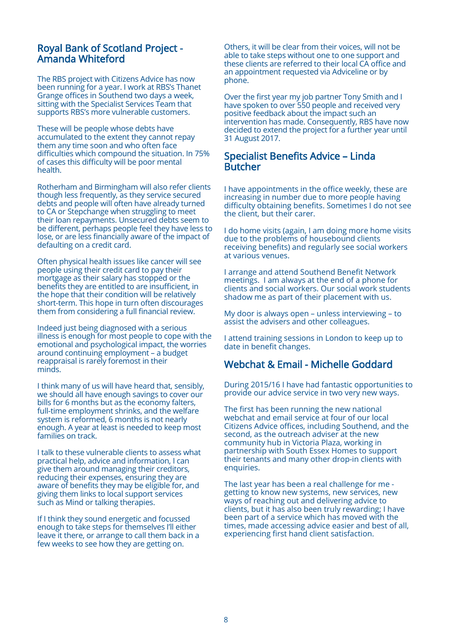# Royal Bank of Scotland Project - Amanda Whiteford

The RBS project with Citizens Advice has now been running for a year. I work at RBS's Thanet Grange offices in Southend two days a week, sitting with the Specialist Services Team that supports RBS's more vulnerable customers.

These will be people whose debts have accumulated to the extent they cannot repay them any time soon and who often face difficulties which compound the situation. In 75% of cases this difficulty will be poor mental health.

Rotherham and Birmingham will also refer clients though less frequently, as they service secured debts and people will often have already turned to CA or Stepchange when struggling to meet their loan repayments. Unsecured debts seem to be different, perhaps people feel they have less to lose, or are less financially aware of the impact of defaulting on a credit card.

Often physical health issues like cancer will see people using their credit card to pay their mortgage as their salary has stopped or the benefits they are entitled to are insufficient, in the hope that their condition will be relatively short-term. This hope in turn often discourages them from considering a full financial review.

Indeed just being diagnosed with a serious illness is enough for most people to cope with the emotional and psychological impact, the worries around continuing employment – a budget reappraisal is rarely foremost in their minds.

I think many of us will have heard that, sensibly, we should all have enough savings to cover our bills for 6 months but as the economy falters, full-time employment shrinks, and the welfare system is reformed, 6 months is not nearly enough. A year at least is needed to keep most families on track.

I talk to these vulnerable clients to assess what practical help, advice and information, I can give them around managing their creditors, reducing their expenses, ensuring they are aware of benefits they may be eligible for, and giving them links to local support services such as Mind or talking therapies.

If I think they sound energetic and focussed enough to take steps for themselves I'll either leave it there, or arrange to call them back in a few weeks to see how they are getting on.

Others, it will be clear from their voices, will not be able to take steps without one to one support and these clients are referred to their local CA office and an appointment requested via Adviceline or by phone.

Over the first year my job partner Tony Smith and I have spoken to over 550 people and received very positive feedback about the impact such an intervention has made. Consequently, RBS have now decided to extend the project for a further year until 31 August 2017.

### Specialist Benefits Advice – Linda Butcher

I have appointments in the office weekly, these are increasing in number due to more people having difficulty obtaining benefits. Sometimes I do not see the client, but their carer.

I do home visits (again, I am doing more home visits due to the problems of housebound clients receiving benefits) and regularly see social workers at various venues.

I arrange and attend Southend Benefit Network meetings. I am always at the end of a phone for clients and social workers. Our social work students shadow me as part of their placement with us.

My door is always open – unless interviewing – to assist the advisers and other colleagues.

I attend training sessions in London to keep up to date in benefit changes.

# Webchat & Email - Michelle Goddard

During 2015/16 I have had fantastic opportunities to provide our advice service in two very new ways.

The first has been running the new national webchat and email service at four of our local Citizens Advice offices, including Southend, and the second, as the outreach adviser at the new community hub in Victoria Plaza, working in partnership with South Essex Homes to support their tenants and many other drop-in clients with enquiries.

The last year has been a real challenge for me getting to know new systems, new services, new ways of reaching out and delivering advice to clients, but it has also been truly rewarding; I have been part of a service which has moved with the times, made accessing advice easier and best of all, experiencing first hand client satisfaction.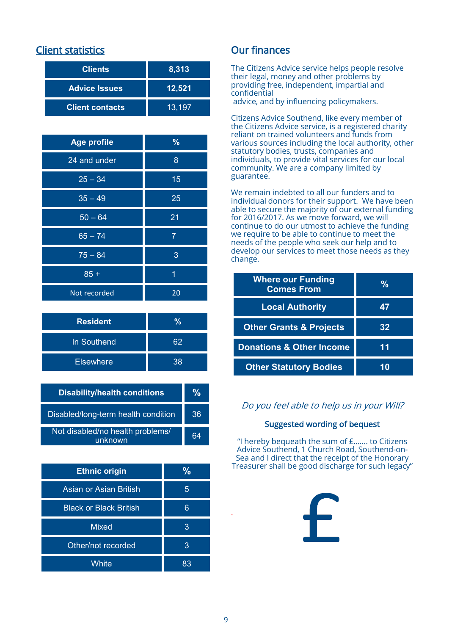# Client statistics

| <b>Clients</b>         | 8,313  |
|------------------------|--------|
| <b>Advice Issues</b>   | 12,521 |
| <b>Client contacts</b> | 13,197 |

| <b>Age profile</b> | $\frac{9}{6}$  |
|--------------------|----------------|
| 24 and under       | 8              |
| $25 - 34$          | 15             |
| $35 - 49$          | 25             |
| $50 - 64$          | 21             |
| $65 - 74$          | $\overline{7}$ |
| $75 - 84$          | 3              |
| $85 +$             | 1              |
| Not recorded       | 20             |

| <b>Resident</b>  | ℅  |
|------------------|----|
| In Southend      | 62 |
| <b>Elsewhere</b> | 38 |

| <b>Disability/health conditions</b>         | ℀  |
|---------------------------------------------|----|
| Disabled/long-term health condition         | 36 |
| Not disabled/no health problems/<br>unknown | 64 |

| <b>Ethnic origin</b>          | %  |
|-------------------------------|----|
| Asian or Asian British        | 5  |
| <b>Black or Black British</b> | 6  |
| <b>Mixed</b>                  | З  |
| Other/not recorded            | 3  |
| White                         | 83 |

# Our finances

The Citizens Advice service helps people resolve their legal, money and other problems by providing free, independent, impartial and confidential

advice, and by influencing policymakers.

Citizens Advice Southend, like every member of the Citizens Advice service, is a registered charity reliant on trained volunteers and funds from various sources including the local authority, other statutory bodies, trusts, companies and individuals, to provide vital services for our local community. We are a company limited by guarantee.

We remain indebted to all our funders and to individual donors for their support. We have been able to secure the majority of our external funding for 2016/2017. As we move forward, we will continue to do our utmost to achieve the funding we require to be able to continue to meet the needs of the people who seek our help and to develop our services to meet those needs as they change.

| <b>Where our Funding</b><br><b>Comes From</b> | ℀  |
|-----------------------------------------------|----|
| <b>Local Authority</b>                        | 47 |
| <b>Other Grants &amp; Projects</b>            | 32 |
| <b>Donations &amp; Other Income</b>           | 11 |
| <b>Other Statutory Bodies</b>                 |    |

# Do you feel able to help us in your Will?

#### Suggested wording of bequest

"I hereby bequeath the sum of £……. to Citizens Advice Southend, 1 Church Road, Southend-on-Sea and I direct that the receipt of the Honorary Treasurer shall be good discharge for such legacy"



.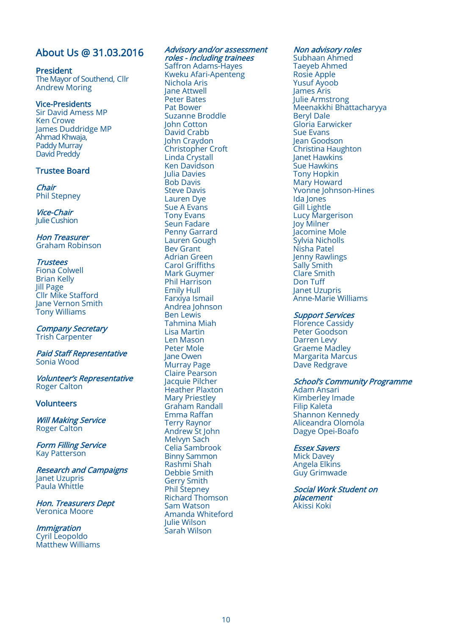# About Us @ 31.03.2016

#### President

The Mayor of Southend, Cllr Andrew Moring

#### Vice-Presidents

Sir David Amess MP Ken Crowe James Duddridge MP Ahmad Khwaja, Paddy Murray David Preddy

#### Trustee Board

Chair Phil Stepney

Vice-Chair Julie Cushion

#### Hon Treasurer Graham Robinson

#### **Trustees**

Fiona Colwell Brian Kelly Jill Page Cllr Mike Stafford Jane Vernon Smith Tony Williams

Company Secretary Trish Carpenter

#### Paid Staff Representative Sonia Wood

Volunteer's Representative Roger Calton

#### **Volunteers**

Will Making Service Roger Calton

Form Filling Service Kay Patterson

Research and Campaigns Janet Uzupris Paula Whittle

Hon. Treasurers Dept Veronica Moore

**Immigration** Cyril Leopoldo Matthew Williams

#### Advisory and/or assessment roles - including trainees

Saffron Adams-Hayes Kweku Afari-Apenteng Nichola Aris Jane Attwell Peter Bates Pat Bower Suzanne Broddle John Cotton David Crabb John Craydon Christopher Croft Linda Crystall Ken Davidson Julia Davies Bob Davis Steve Davis Lauren Dye Sue A Evans Tony Evans Seun Fadare Penny Garrard Lauren Gough Bev Grant Adrian Green Carol Griffiths Mark Guymer Phil Harrison Emily Hull Farxiya Ismail Andrea Johnson Ben Lewis Tahmina Miah Lisa Martin Len Mason Peter Mole Jane Owen Murray Page Claire Pearson Jacquie Pilcher Heather Plaxton Mary Priestley Graham Randall Emma Raffan Terry Raynor Andrew St John Melvyn Sach Celia Sambrook Binny Sammon Rashmi Shah Debbie Smith Gerry Smith Phil Stepney Richard Thomson Sam Watson Amanda Whiteford Julie Wilson Sarah Wilson

#### Non advisory roles

Subhaan Ahmed Taeyeb Ahmed Rosie Apple Yusuf Ayoob James Aris Julie Armstrong Meenakkhi Bhattacharyya Beryl Dale Gloria Earwicker Sue Evans Jean Goodson Christina Haughton Janet Hawkins Sue Hawkins Tony Hopkin Mary Howard Yvonne Johnson-Hines Ida Jones Gill Lightle Lucy Margerison Joy Milner Jacomine Mole Sylvia Nicholls Nisha Patel Jenny Rawlings Sally Smith Clare Smith Don Tuff Janet Uzupris Anne-Marie Williams

#### Support Services

Florence Cassidy Peter Goodson Darren Levy Graeme Madley Margarita Marcus Dave Redgrave

#### School's Community Programme

Adam Ansari Kimberley Imade Filip Kaleta Shannon Kennedy Aliceandra Olomola Dagye Opei-Boafo

#### Essex Savers

Mick Davey Angela Elkins Guy Grimwade

Social Work Student on placement Akissi Koki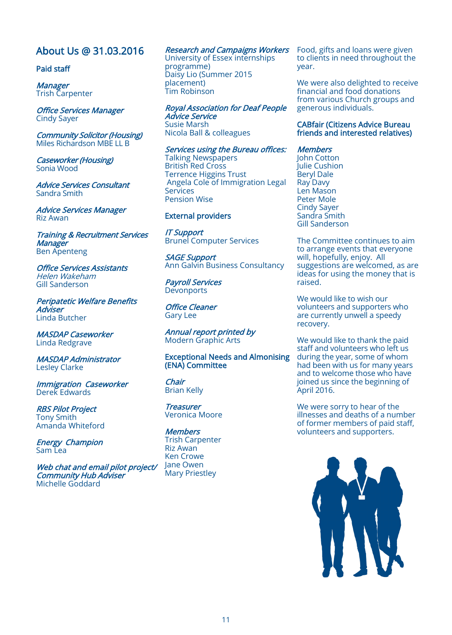# About Us @ 31.03.2016

#### Paid staff

**Manager** Trish Carpenter

Office Services Manager Cindy Sayer

Community Solicitor (Housing) Miles Richardson MBE LL B

Caseworker (Housing) Sonia Wood

Advice Services Consultant Sandra Smith

Advice Services Manager Riz Awan

Training & Recruitment Services **Manager** Ben Apenteng

Office Services Assistants Helen Wakeham Gill Sanderson

Peripatetic Welfare Benefits Adviser Linda Butcher

MASDAP Caseworker Linda Redgrave

MASDAP Administrator Lesley Clarke

Immigration Caseworker Derek Edwards

RBS Pilot Project Tony Smith Amanda Whiteford

Energy Champion Sam Lea

Web chat and email pilot project/ Community Hub Adviser Michelle Goddard

#### Research and Campaigns Workers

University of Essex internships programme) Daisy Lio (Summer 2015 placement) Tim Robinson

Royal Association for Deaf People Advice Service Susie Marsh Nicola Ball & colleagues

Services using the Bureau offices:

Talking Newspapers British Red Cross Terrence Higgins Trust Angela Cole of Immigration Legal Services Pension Wise

#### External providers

IT Support Brunel Computer Services

SAGE Support Ann Galvin Business Consultancy

Payroll Services **Devonports** 

Office Cleaner Gary Lee

Annual report printed by Modern Graphic Arts

Exceptional Needs and Almonising (ENA) Committee

Chair Brian Kelly

**Treasurer** Veronica Moore

**Members** Trish Carpenter Riz Awan Ken Crowe Jane Owen Mary Priestley

Food, gifts and loans were given to clients in need throughout the year.

We were also delighted to receive financial and food donations from various Church groups and generous individuals.

#### CABfair (Citizens Advice Bureau friends and interested relatives)

**Members** 

John Cotton Julie Cushion Beryl Dale Ray Davy Len Mason Peter Mole Cindy Sayer Sandra Smith Gill Sanderson

The Committee continues to aim to arrange events that everyone will, hopefully, enjoy. All suggestions are welcomed, as are ideas for using the money that is raised.

We would like to wish our volunteers and supporters who are currently unwell a speedy recovery.

We would like to thank the paid staff and volunteers who left us during the year, some of whom had been with us for many years and to welcome those who have joined us since the beginning of April 2016.

We were sorry to hear of the illnesses and deaths of a number of former members of paid staff, volunteers and supporters.